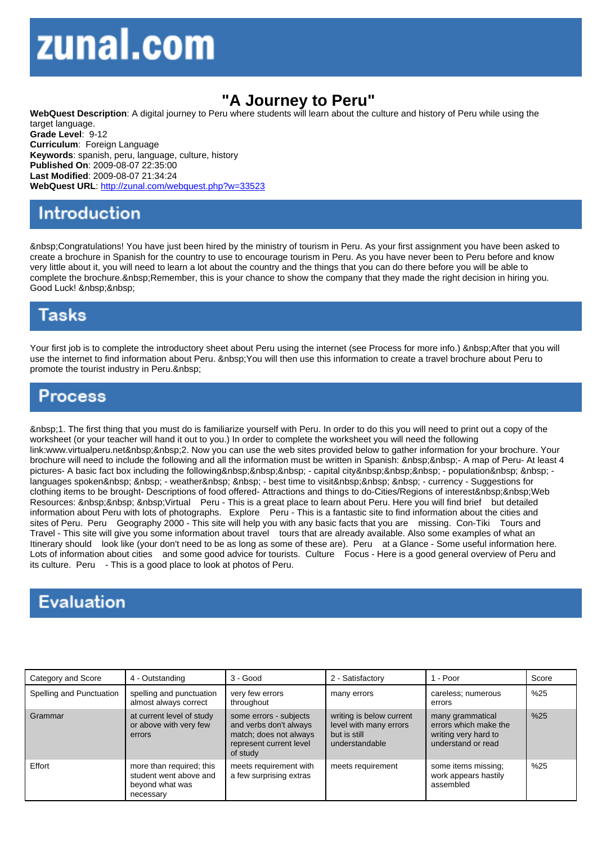## "A Journey to Peru"

WebQuest Description: A digital journey to Peru where students will learn about the culture and history of Peru while using the target language. Grade Level: 9-12 Curriculum: Foreign Language Keywords: spanish, peru, language, culture, history Published On: 2009-08-07 22:35:00 Last Modified: 2009-08-07 21:34:24 WebQuest URL: http://zunal.com/webquest.php?w=33523

 Congratulations! You have just been hired by the ministry of tourism in Peru. As your first assignment you have been asked to create a brochure in Spanish for the country to use to encourage tourism in Peru. As you have never been to Peru before and know very little about it, you will need to learn a lot about the country and the things that you can do there before you will be able to complete the brochure. Remember, this is your chance to show the company that they made the right decision in hiring you. Good Luck!

Your first job is to complete the introductory sheet about Peru using the internet (see Process for more info.) After that you will use the internet to find information about Peru. You will then use this information to create a travel brochure about Peru to promote the tourist industry in Peru.

 1. The first thing that you must do is familiarize yourself with Peru. In order to do this you will need to print out a copy of the worksheet (or your teacher will hand it out to you.) In order to complete the worksheet you will need the following link:www.virtualperu.net&nbsp:&nbsp:2. Now you can use the web sites provided below to gather information for your brochure. Your brochure will need to include the following and all the information must be written in Spanish: &nbsp:&nbsp:- A map of Peru- At least 4 pictures- A basic fact box including the following&nbsp:&nbsp:&nbsp: - capital city&nbsp:&nbsp:&nbsp: - population&nbsp: &nbsp: languages spoken - weather - best time to visit - currency - Suggestions for clothing items to be brought- Descriptions of food offered- Attractions and things to do-Cities/Regions of interest Web Resources: Virtual Peru - This is a great place to learn about Peru. Here you will find brief but detailed information about Peru with lots of photographs. Explore Peru - This is a fantastic site to find information about the cities and sites of Peru. Peru Geography 2000 - This site will help you with any basic facts that you are missing. Con-Tiki Tours and Travel - This site will give you some information about travel tours that are already available. Also some examples of what an Itinerary should look like (your don't need to be as long as some of these are). Peru at a Glance - Some useful information here. Lots of information about cities and some good advice for tourists. Culture Focus - Here is a good general overview of Peru and its culture. Peru - This is a good place to look at photos of Peru.

| Category and Score       | 4 - Outstanding                                                                    | $3 - Good$                                                                                                        | 2 - Satisfactory                                                                     | 1 - Poor                                                                                | Score |
|--------------------------|------------------------------------------------------------------------------------|-------------------------------------------------------------------------------------------------------------------|--------------------------------------------------------------------------------------|-----------------------------------------------------------------------------------------|-------|
| Spelling and Punctuation | spelling and punctuation<br>almost always correct                                  | very few errors<br>throughout                                                                                     | many errors                                                                          | careless; numerous<br>errors                                                            | %25   |
| Grammar                  | at current level of study<br>or above with very few<br>errors                      | some errors - subjects<br>and verbs don't always<br>match; does not always<br>represent current level<br>of study | writing is below current<br>level with many errors<br>but is still<br>understandable | many grammatical<br>errors which make the<br>writing very hard to<br>understand or read | %25   |
| Effort                   | more than required; this<br>student went above and<br>beyond what was<br>necessary | meets requirement with<br>a few surprising extras                                                                 | meets requirement                                                                    | some items missing:<br>work appears hastily<br>assembled                                | %25   |